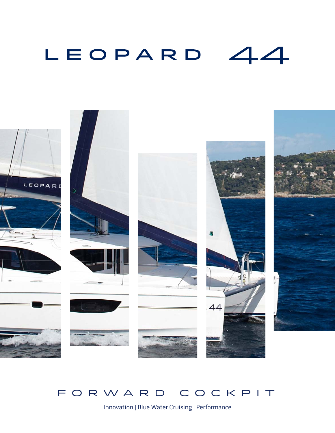## LEOPARD 44



### forward cockpit

Innovation | Blue Water Cruising | Performance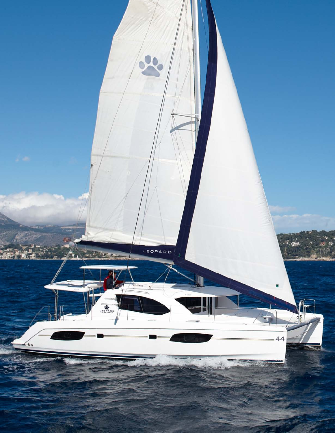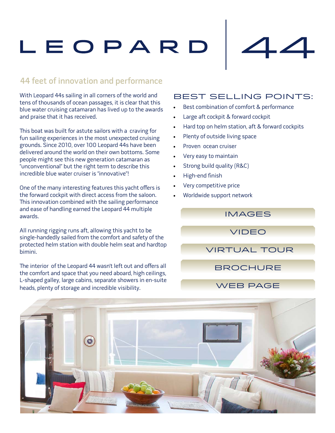# LEOPARD

#### 44 feet of innovation and performance

With Leopard 44s sailing in all corners of the world and tens of thousands of ocean passages, it is clear that this blue water cruising catamaran has lived up to the awards and praise that it has received.

This boat was built for astute sailors with a craving for fun sailing experiences in the most unexpected cruising grounds. Since 2010, over 100 Leopard 44s have been delivered around the world on their own bottoms. Some people might see this new generation catamaran as "unconventional" but the right term to describe this incredible blue water cruiser is "innovative"!

One of the many interesting features this yacht offers is the forward cockpit with direct access from the saloon. This innovation combined with the sailing performance and ease of handling earned the Leopard 44 multiple awards.

All running rigging runs aft, allowing this yacht to be single-handedly sailed from the comfort and safety of the protected helm station with double helm seat and hardtop bimini.

The interior of the Leopard 44 wasn't left out and offers all the comfort and space that you need aboard, high ceilings, L-shaped galley, large cabins, separate showers in en-suite heads, plenty of storage and incredible visibility.

#### Best selling points:

- Best combination of comfort & performance
- Large aft cockpit & forward cockpit
- Hard top on helm station, aft & forward cockpits
- Plenty of outside living space
- Proven ocean cruiser
- Very easy to maintain
- Strong build quality (R&C)
- High-end finish
- Very competitive price
- Worldwide support network

**IMAGES** 

**VIDEO** 

[virtual tour](http://www.yacht360tours.com/leopard44/flashpano.html)

#### **BROCHURE**

WEB PAGE

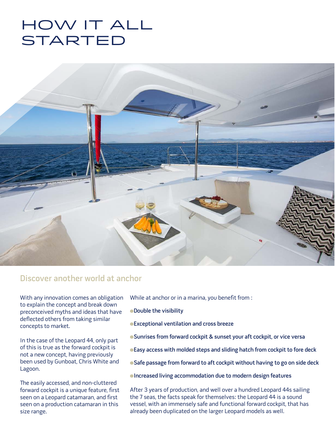## HOW IT all **STARTED**



#### Discover another world at anchor

With any innovation comes an obligation to explain the concept and break down preconceived myths and ideas that have deflected others from taking similar concepts to market.

In the case of the Leopard 44, only part of this is true as the forward cockpit is not a new concept, having previously been used by Gunboat, Chris White and Lagoon.

The easily accessed, and non-cluttered forward cockpit is a unique feature, first seen on a Leopard catamaran, and first seen on a production catamaran in this size range.

While at anchor or in a marina, you benefit from :

- Double the visibility
- Exceptional ventilation and cross breeze
- Sunrises from forward cockpit & sunset your aft cockpit, or vice versa
- Easy access with molded steps and sliding hatch from cockpit to fore deck
- Safe passage from forward to aft cockpit without having to go on side deck
- Increased living accommodation due to modern design features

After 3 years of production, and well over a hundred Leopard 44s sailing the 7 seas, the facts speak for themselves: the Leopard 44 is a sound vessel, with an immensely safe and functional forward cockpit, that has already been duplicated on the larger Leopard models as well.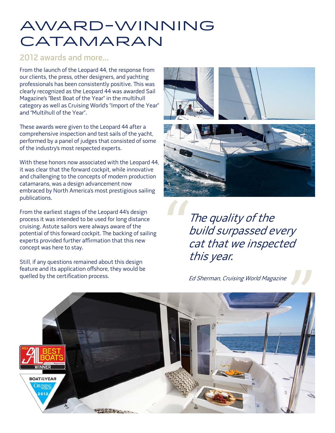### aWARD-wINNING CATAMARAN

#### 2012 awards and more...

From the launch of the Leopard 44, the response from our clients, the press, other designers, and yachting professionals has been consistently positive. This was clearly recognized as the Leopard 44 was awarded Sail Magazine's "Best Boat of the Year" in the multihull category as well as Cruising World's "Import of the Year" and "Multihull of the Year".

These awards were given to the Leopard 44 after a comprehensive inspection and test sails of the yacht, performed by a panel of judges that consisted of some of the industry's most respected experts.

With these honors now associated with the Leopard 44, it was clear that the forward cockpit, while innovative and challenging to the concepts of modern production catamarans, was a design advancement now embraced by North America's most prestigious sailing publications.

From the earliest stages of the Leopard 44's design process it was intended to be used for long distance cruising. Astute sailors were always aware of the potential of this forward cockpit. The backing of sailing experts provided further affirmation that this new concept was here to stay.

Still, if any questions remained about this design feature and its application offshore, they would be quelled by the certification process.



The quality of the build surpassed every cat that we inspected this year.

Ed Sherman, Cruising World Magazine

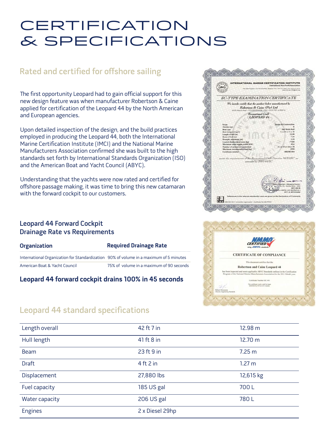## **CERTIFICATION** & Specifications

#### Rated and certified for offshore sailing

The first opportunity Leopard had to gain official support for this new design feature was when manufacturer Robertson & Caine applied for certification of the Leopard 44 by the North American and European agencies.

Upon detailed inspection of the design, and the build practices employed in producing the Leopard 44, both the International Marine Certification Institute (IMCI) and the National Marine Manufacturers Association confirmed she was built to the high standards set forth by International Standards Organization (ISO) and the American Boat and Yacht Council (ABYC).

Understanding that the yachts were now rated and certified for offshore passage making, it was time to bring this new catamaran with the forward cockpit to our customers.

#### INTERNATIONAL MARINE CERTIFICATION INSTITUTE inci Begins / Fox +32 2 741 5810 / Fax +22 21 EC-TYPE EXAMINATION CERTIFICATE We hereby certify that the product below manufactured by Robertson & Caine (Pty) Ltd 1830 Beach Road  $\overline{D}$  $JCA$ LEOPARD 44 2,98<br>7,28<br>1,34 of the Re J Craft Directive 94/25/EC as led by 2003/44/EC E ME

#### Leopard 44 Forward Cockpit Drainage Rate vs Requirements

| Organization                                                                           | <b>Required Drainage Rate</b>            |  |
|----------------------------------------------------------------------------------------|------------------------------------------|--|
| International Organization for Standardization 90% of volume in a maximum of 5 minutes |                                          |  |
| American Boat & Yacht Council                                                          | 75% of volume in a maximum of 90 seconds |  |

#### **Leopard 44 forward cockpit drains 100% in 45 seconds**



#### Leopard 44 standard specifications

| Length overall | 42 ft 7 in      | 12.98 m           |
|----------------|-----------------|-------------------|
| Hull length    | 41 ft 8 in      | 12.70 m           |
| <b>Beam</b>    | 23 ft 9 in      | 7.25 <sub>m</sub> |
| <b>Draft</b>   | 4 ft 2 in       | 1.27 <sub>m</sub> |
| Displacement   | 27,880 lbs      | 12,615 kg         |
| Fuel capacity  | 185 US gal      | 700L              |
| Water capacity | 206 US gal      | 780L              |
| <b>Engines</b> | 2 x Diesel 29hp |                   |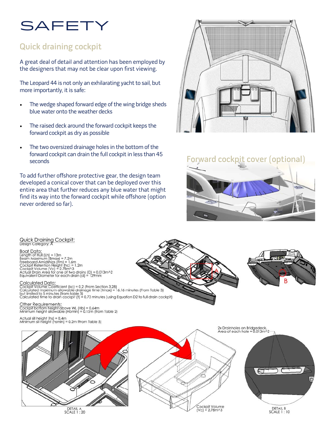## **SAFETY**

#### Quick draining cockpit

A great deal of detail and attention has been employed by the designers that may not be clear upon first viewing.

The Leopard 44 is not only an exhilarating yacht to sail, but more importantly, it is safe:

- The wedge shaped forward edge of the wing bridge sheds blue water onto the weather decks
- The raised deck around the forward cockpit keeps the forward cockpit as dry as possible
- The two oversized drainage holes in the bottom of the forward cockpit can drain the full cockpit in less than 45 seconds

To add further offshore protective gear, the design team developed a conical cover that can be deployed over this entire area that further reduces any blue water that might find its way into the forward cockpit while offshore (option never ordered so far).



#### Forward cockpit cover (optional)



## Quick Draining Cockpit:<br>Design Category: A Boat Data:<br>Length of Hull (Lh) = 13m<br>Breeboard Amidships (Fm) = 1.6m<br>Freeboard Amidships (Fm) = 1.6m<br>Cockpit Volume (Vc) = 2.78m/3<br>Actual Drain Area for one of two drains (D) = 0.013m/2<br>Equivalent Diameter for each drain ( **Calculated Data:** Cackpit Volume Coefficient (kc) = 0.2 (From Section 3.28)<br>Cackpit Volume Coefficient (kc) = 0.2 (From Section 3.28)<br>but limited to 5 minutes (from table 3)<br>Calculated time to drain cockpit (t) = 0.73 minutes (using Equatio

Other Requirements:<br>Cockpit bottom height above WL (Hb) = 0.64m<br>Minimum height allowable (Hbmin) = 0.15m (from Table 2)

#### Actual sill height (hs) = 0.4m<br>Minimum sill height (hsmin) = 0.2m fFrom Table 5)



2x Drainholes on Bridgedeck.<br>Area of each hole = 0.013m^2

,<br>Cockpit Volume<br>(Vc) = 2.78m^3